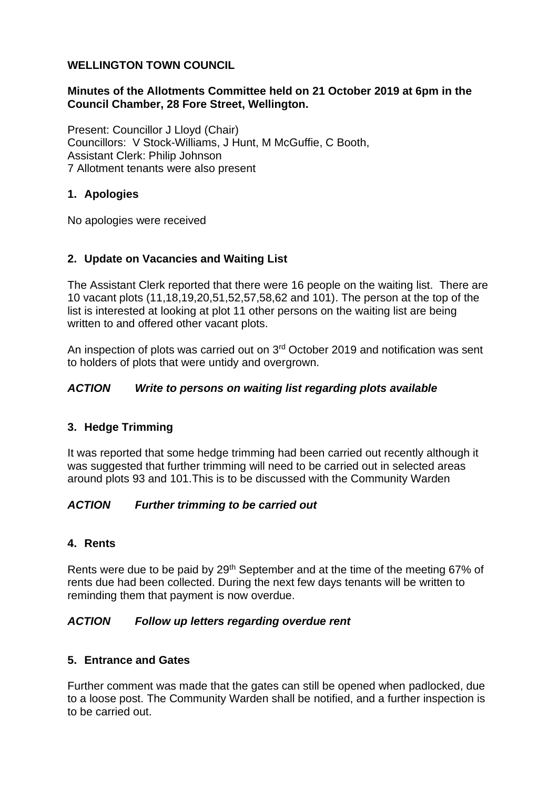### **WELLINGTON TOWN COUNCIL**

## **Minutes of the Allotments Committee held on 21 October 2019 at 6pm in the Council Chamber, 28 Fore Street, Wellington.**

Present: Councillor J Lloyd (Chair) Councillors: V Stock-Williams, J Hunt, M McGuffie, C Booth, Assistant Clerk: Philip Johnson 7 Allotment tenants were also present

## **1. Apologies**

No apologies were received

## **2. Update on Vacancies and Waiting List**

The Assistant Clerk reported that there were 16 people on the waiting list. There are 10 vacant plots (11,18,19,20,51,52,57,58,62 and 101). The person at the top of the list is interested at looking at plot 11 other persons on the waiting list are being written to and offered other vacant plots.

An inspection of plots was carried out on 3rd October 2019 and notification was sent to holders of plots that were untidy and overgrown.

## *ACTION Write to persons on waiting list regarding plots available*

# **3. Hedge Trimming**

It was reported that some hedge trimming had been carried out recently although it was suggested that further trimming will need to be carried out in selected areas around plots 93 and 101.This is to be discussed with the Community Warden

### *ACTION Further trimming to be carried out*

### **4. Rents**

Rents were due to be paid by 29<sup>th</sup> September and at the time of the meeting 67% of rents due had been collected. During the next few days tenants will be written to reminding them that payment is now overdue.

### *ACTION Follow up letters regarding overdue rent*

### **5. Entrance and Gates**

Further comment was made that the gates can still be opened when padlocked, due to a loose post. The Community Warden shall be notified, and a further inspection is to be carried out.